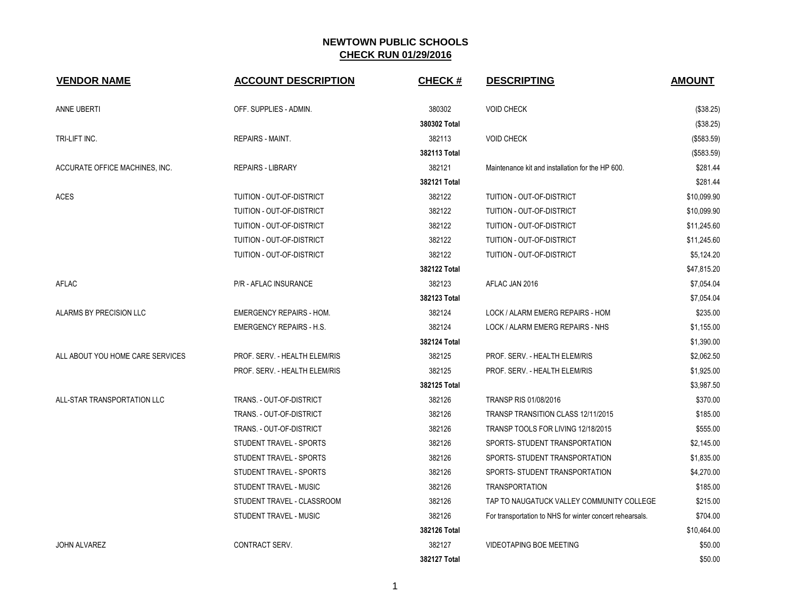| <b>VENDOR NAME</b>               | <b>ACCOUNT DESCRIPTION</b>      | <b>CHECK#</b> | <b>DESCRIPTING</b>                                       | <b>AMOUNT</b> |
|----------------------------------|---------------------------------|---------------|----------------------------------------------------------|---------------|
| ANNE UBERTI                      | OFF. SUPPLIES - ADMIN.          | 380302        | <b>VOID CHECK</b>                                        | (\$38.25)     |
|                                  |                                 | 380302 Total  |                                                          | (\$38.25)     |
| TRI-LIFT INC.                    | <b>REPAIRS - MAINT.</b>         | 382113        | <b>VOID CHECK</b>                                        | (\$583.59)    |
|                                  |                                 | 382113 Total  |                                                          | (\$583.59)    |
| ACCURATE OFFICE MACHINES, INC.   | <b>REPAIRS - LIBRARY</b>        | 382121        | Maintenance kit and installation for the HP 600.         | \$281.44      |
|                                  |                                 | 382121 Total  |                                                          | \$281.44      |
| <b>ACES</b>                      | TUITION - OUT-OF-DISTRICT       | 382122        | TUITION - OUT-OF-DISTRICT                                | \$10,099.90   |
|                                  | TUITION - OUT-OF-DISTRICT       | 382122        | TUITION - OUT-OF-DISTRICT                                | \$10,099.90   |
|                                  | TUITION - OUT-OF-DISTRICT       | 382122        | TUITION - OUT-OF-DISTRICT                                | \$11,245.60   |
|                                  | TUITION - OUT-OF-DISTRICT       | 382122        | TUITION - OUT-OF-DISTRICT                                | \$11,245.60   |
|                                  | TUITION - OUT-OF-DISTRICT       | 382122        | TUITION - OUT-OF-DISTRICT                                | \$5,124.20    |
|                                  |                                 | 382122 Total  |                                                          | \$47,815.20   |
| AFLAC                            | P/R - AFLAC INSURANCE           | 382123        | AFLAC JAN 2016                                           | \$7,054.04    |
|                                  |                                 | 382123 Total  |                                                          | \$7,054.04    |
| ALARMS BY PRECISION LLC          | <b>EMERGENCY REPAIRS - HOM.</b> | 382124        | LOCK / ALARM EMERG REPAIRS - HOM                         | \$235.00      |
|                                  | <b>EMERGENCY REPAIRS - H.S.</b> | 382124        | LOCK / ALARM EMERG REPAIRS - NHS                         | \$1,155.00    |
|                                  |                                 | 382124 Total  |                                                          | \$1,390.00    |
| ALL ABOUT YOU HOME CARE SERVICES | PROF. SERV. - HEALTH ELEM/RIS   | 382125        | PROF. SERV. - HEALTH ELEM/RIS                            | \$2,062.50    |
|                                  | PROF. SERV. - HEALTH ELEM/RIS   | 382125        | PROF. SERV. - HEALTH ELEM/RIS                            | \$1,925.00    |
|                                  |                                 | 382125 Total  |                                                          | \$3,987.50    |
| ALL-STAR TRANSPORTATION LLC      | TRANS. - OUT-OF-DISTRICT        | 382126        | TRANSP RIS 01/08/2016                                    | \$370.00      |
|                                  | TRANS. - OUT-OF-DISTRICT        | 382126        | TRANSP TRANSITION CLASS 12/11/2015                       | \$185.00      |
|                                  | TRANS. - OUT-OF-DISTRICT        | 382126        | TRANSP TOOLS FOR LIVING 12/18/2015                       | \$555.00      |
|                                  | STUDENT TRAVEL - SPORTS         | 382126        | SPORTS- STUDENT TRANSPORTATION                           | \$2,145.00    |
|                                  | STUDENT TRAVEL - SPORTS         | 382126        | SPORTS- STUDENT TRANSPORTATION                           | \$1,835.00    |
|                                  | STUDENT TRAVEL - SPORTS         | 382126        | SPORTS- STUDENT TRANSPORTATION                           | \$4,270.00    |
|                                  | STUDENT TRAVEL - MUSIC          | 382126        | <b>TRANSPORTATION</b>                                    | \$185.00      |
|                                  | STUDENT TRAVEL - CLASSROOM      | 382126        | TAP TO NAUGATUCK VALLEY COMMUNITY COLLEGE                | \$215.00      |
|                                  | STUDENT TRAVEL - MUSIC          | 382126        | For transportation to NHS for winter concert rehearsals. | \$704.00      |
|                                  |                                 | 382126 Total  |                                                          | \$10,464.00   |
| <b>JOHN ALVAREZ</b>              | CONTRACT SERV.                  | 382127        | <b>VIDEOTAPING BOE MEETING</b>                           | \$50.00       |
|                                  |                                 | 382127 Total  |                                                          | \$50.00       |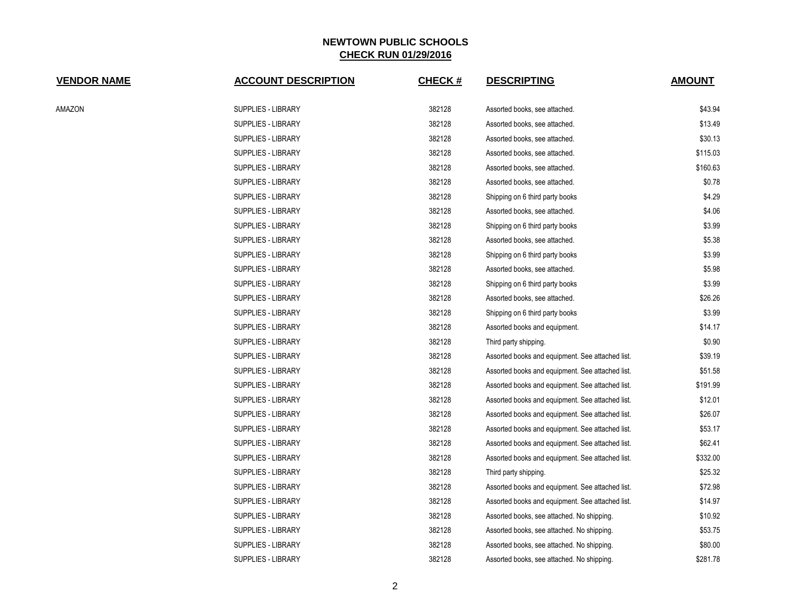| <b>VENDOR NAME</b> | <b>ACCOUNT DESCRIPTION</b> | <b>CHECK#</b> | <b>DESCRIPTING</b>                               | <b>AMOUNT</b> |
|--------------------|----------------------------|---------------|--------------------------------------------------|---------------|
| AMAZON             | SUPPLIES - LIBRARY         | 382128        | Assorted books, see attached.                    | \$43.94       |
|                    | <b>SUPPLIES - LIBRARY</b>  | 382128        | Assorted books, see attached.                    | \$13.49       |
|                    | SUPPLIES - LIBRARY         | 382128        | Assorted books, see attached.                    | \$30.13       |
|                    | SUPPLIES - LIBRARY         | 382128        | Assorted books, see attached.                    | \$115.03      |
|                    | SUPPLIES - LIBRARY         | 382128        | Assorted books, see attached.                    | \$160.63      |
|                    | SUPPLIES - LIBRARY         | 382128        | Assorted books, see attached.                    | \$0.78        |
|                    | <b>SUPPLIES - LIBRARY</b>  | 382128        | Shipping on 6 third party books                  | \$4.29        |
|                    | SUPPLIES - LIBRARY         | 382128        | Assorted books, see attached.                    | \$4.06        |
|                    | <b>SUPPLIES - LIBRARY</b>  | 382128        | Shipping on 6 third party books                  | \$3.99        |
|                    | SUPPLIES - LIBRARY         | 382128        | Assorted books, see attached.                    | \$5.38        |
|                    | SUPPLIES - LIBRARY         | 382128        | Shipping on 6 third party books                  | \$3.99        |
|                    | SUPPLIES - LIBRARY         | 382128        | Assorted books, see attached.                    | \$5.98        |
|                    | <b>SUPPLIES - LIBRARY</b>  | 382128        | Shipping on 6 third party books                  | \$3.99        |
|                    | SUPPLIES - LIBRARY         | 382128        | Assorted books, see attached.                    | \$26.26       |
|                    | SUPPLIES - LIBRARY         | 382128        | Shipping on 6 third party books                  | \$3.99        |
|                    | SUPPLIES - LIBRARY         | 382128        | Assorted books and equipment.                    | \$14.17       |
|                    | SUPPLIES - LIBRARY         | 382128        | Third party shipping.                            | \$0.90        |
|                    | SUPPLIES - LIBRARY         | 382128        | Assorted books and equipment. See attached list. | \$39.19       |
|                    | SUPPLIES - LIBRARY         | 382128        | Assorted books and equipment. See attached list. | \$51.58       |
|                    | <b>SUPPLIES - LIBRARY</b>  | 382128        | Assorted books and equipment. See attached list. | \$191.99      |
|                    | SUPPLIES - LIBRARY         | 382128        | Assorted books and equipment. See attached list. | \$12.01       |
|                    | SUPPLIES - LIBRARY         | 382128        | Assorted books and equipment. See attached list. | \$26.07       |
|                    | SUPPLIES - LIBRARY         | 382128        | Assorted books and equipment. See attached list. | \$53.17       |
|                    | SUPPLIES - LIBRARY         | 382128        | Assorted books and equipment. See attached list. | \$62.41       |
|                    | SUPPLIES - LIBRARY         | 382128        | Assorted books and equipment. See attached list. | \$332.00      |
|                    | SUPPLIES - LIBRARY         | 382128        | Third party shipping.                            | \$25.32       |
|                    | SUPPLIES - LIBRARY         | 382128        | Assorted books and equipment. See attached list. | \$72.98       |
|                    | SUPPLIES - LIBRARY         | 382128        | Assorted books and equipment. See attached list. | \$14.97       |
|                    | <b>SUPPLIES - LIBRARY</b>  | 382128        | Assorted books, see attached. No shipping.       | \$10.92       |
|                    | SUPPLIES - LIBRARY         | 382128        | Assorted books, see attached. No shipping.       | \$53.75       |
|                    | <b>SUPPLIES - LIBRARY</b>  | 382128        | Assorted books, see attached. No shipping.       | \$80.00       |
|                    | <b>SUPPLIES - LIBRARY</b>  | 382128        | Assorted books, see attached. No shipping.       | \$281.78      |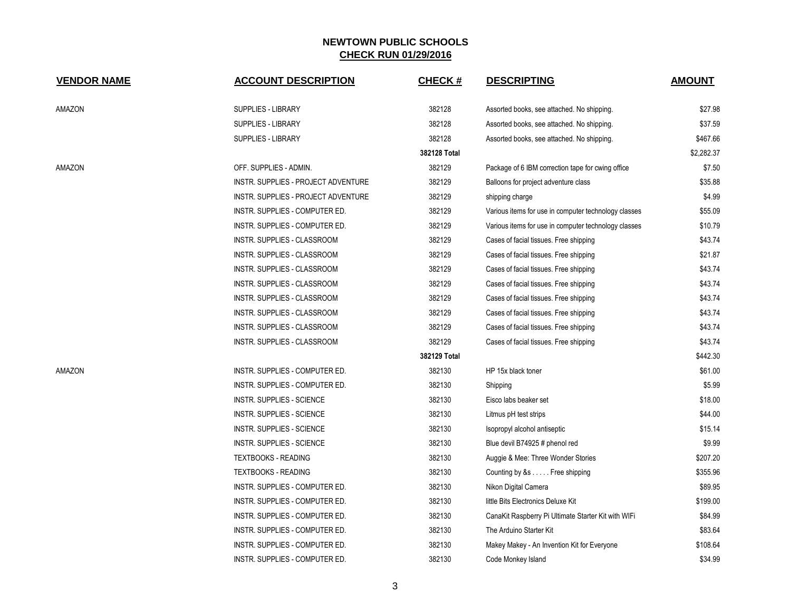| <b>VENDOR NAME</b> | <b>ACCOUNT DESCRIPTION</b>                 | <b>CHECK#</b> | <b>DESCRIPTING</b>                                   | <b>AMOUNT</b> |
|--------------------|--------------------------------------------|---------------|------------------------------------------------------|---------------|
| AMAZON             | <b>SUPPLIES - LIBRARY</b>                  | 382128        | Assorted books, see attached. No shipping.           | \$27.98       |
|                    | <b>SUPPLIES - LIBRARY</b>                  | 382128        | Assorted books, see attached. No shipping.           | \$37.59       |
|                    | <b>SUPPLIES - LIBRARY</b>                  | 382128        | Assorted books, see attached. No shipping.           | \$467.66      |
|                    |                                            | 382128 Total  |                                                      | \$2,282.37    |
| AMAZON             | OFF. SUPPLIES - ADMIN.                     | 382129        | Package of 6 IBM correction tape for cwing office    | \$7.50        |
|                    | <b>INSTR. SUPPLIES - PROJECT ADVENTURE</b> | 382129        | Balloons for project adventure class                 | \$35.88       |
|                    | INSTR. SUPPLIES - PROJECT ADVENTURE        | 382129        | shipping charge                                      | \$4.99        |
|                    | INSTR. SUPPLIES - COMPUTER ED.             | 382129        | Various items for use in computer technology classes | \$55.09       |
|                    | INSTR. SUPPLIES - COMPUTER ED.             | 382129        | Various items for use in computer technology classes | \$10.79       |
|                    | INSTR. SUPPLIES - CLASSROOM                | 382129        | Cases of facial tissues. Free shipping               | \$43.74       |
|                    | INSTR. SUPPLIES - CLASSROOM                | 382129        | Cases of facial tissues. Free shipping               | \$21.87       |
|                    | INSTR. SUPPLIES - CLASSROOM                | 382129        | Cases of facial tissues. Free shipping               | \$43.74       |
|                    | INSTR. SUPPLIES - CLASSROOM                | 382129        | Cases of facial tissues. Free shipping               | \$43.74       |
|                    | INSTR. SUPPLIES - CLASSROOM                | 382129        | Cases of facial tissues. Free shipping               | \$43.74       |
|                    | INSTR. SUPPLIES - CLASSROOM                | 382129        | Cases of facial tissues. Free shipping               | \$43.74       |
|                    | INSTR. SUPPLIES - CLASSROOM                | 382129        | Cases of facial tissues. Free shipping               | \$43.74       |
|                    | INSTR. SUPPLIES - CLASSROOM                | 382129        | Cases of facial tissues. Free shipping               | \$43.74       |
|                    |                                            | 382129 Total  |                                                      | \$442.30      |
| AMAZON             | INSTR. SUPPLIES - COMPUTER ED.             | 382130        | HP 15x black toner                                   | \$61.00       |
|                    | INSTR. SUPPLIES - COMPUTER ED.             | 382130        | Shipping                                             | \$5.99        |
|                    | <b>INSTR. SUPPLIES - SCIENCE</b>           | 382130        | Eisco labs beaker set                                | \$18.00       |
|                    | <b>INSTR. SUPPLIES - SCIENCE</b>           | 382130        | Litmus pH test strips                                | \$44.00       |
|                    | <b>INSTR. SUPPLIES - SCIENCE</b>           | 382130        | Isopropyl alcohol antiseptic                         | \$15.14       |
|                    | <b>INSTR. SUPPLIES - SCIENCE</b>           | 382130        | Blue devil B74925 # phenol red                       | \$9.99        |
|                    | <b>TEXTBOOKS - READING</b>                 | 382130        | Auggie & Mee: Three Wonder Stories                   | \$207.20      |
|                    | <b>TEXTBOOKS - READING</b>                 | 382130        | Counting by &s Free shipping                         | \$355.96      |
|                    | INSTR. SUPPLIES - COMPUTER ED.             | 382130        | Nikon Digital Camera                                 | \$89.95       |
|                    | INSTR. SUPPLIES - COMPUTER ED.             | 382130        | little Bits Electronics Deluxe Kit                   | \$199.00      |
|                    | INSTR. SUPPLIES - COMPUTER ED.             | 382130        | CanaKit Raspberry Pi Ultimate Starter Kit with WIFi  | \$84.99       |
|                    | INSTR. SUPPLIES - COMPUTER ED.             | 382130        | The Arduino Starter Kit                              | \$83.64       |
|                    | INSTR. SUPPLIES - COMPUTER ED.             | 382130        | Makey Makey - An Invention Kit for Everyone          | \$108.64      |
|                    | INSTR. SUPPLIES - COMPUTER ED.             | 382130        | Code Monkey Island                                   | \$34.99       |
|                    |                                            |               |                                                      |               |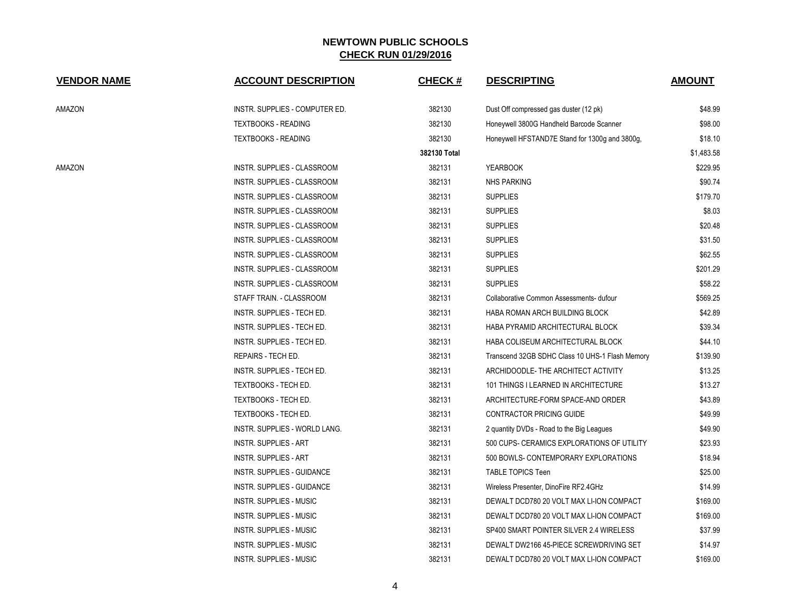| <b>VENDOR NAME</b> | <b>ACCOUNT DESCRIPTION</b>         | <b>CHECK#</b> | <b>DESCRIPTING</b>                              | <b>AMOUNT</b> |
|--------------------|------------------------------------|---------------|-------------------------------------------------|---------------|
| AMAZON             | INSTR. SUPPLIES - COMPUTER ED.     | 382130        | Dust Off compressed gas duster (12 pk)          | \$48.99       |
|                    | <b>TEXTBOOKS - READING</b>         | 382130        | Honeywell 3800G Handheld Barcode Scanner        | \$98.00       |
|                    | <b>TEXTBOOKS - READING</b>         | 382130        | Honeywell HFSTAND7E Stand for 1300g and 3800g,  | \$18.10       |
|                    |                                    | 382130 Total  |                                                 | \$1,483.58    |
| AMAZON             | INSTR. SUPPLIES - CLASSROOM        | 382131        | <b>YEARBOOK</b>                                 | \$229.95      |
|                    | INSTR. SUPPLIES - CLASSROOM        | 382131        | <b>NHS PARKING</b>                              | \$90.74       |
|                    | INSTR. SUPPLIES - CLASSROOM        | 382131        | <b>SUPPLIES</b>                                 | \$179.70      |
|                    | INSTR. SUPPLIES - CLASSROOM        | 382131        | <b>SUPPLIES</b>                                 | \$8.03        |
|                    | <b>INSTR. SUPPLIES - CLASSROOM</b> | 382131        | <b>SUPPLIES</b>                                 | \$20.48       |
|                    | INSTR. SUPPLIES - CLASSROOM        | 382131        | <b>SUPPLIES</b>                                 | \$31.50       |
|                    | INSTR. SUPPLIES - CLASSROOM        | 382131        | <b>SUPPLIES</b>                                 | \$62.55       |
|                    | INSTR. SUPPLIES - CLASSROOM        | 382131        | <b>SUPPLIES</b>                                 | \$201.29      |
|                    | INSTR. SUPPLIES - CLASSROOM        | 382131        | <b>SUPPLIES</b>                                 | \$58.22       |
|                    | STAFF TRAIN. - CLASSROOM           | 382131        | Collaborative Common Assessments- dufour        | \$569.25      |
|                    | INSTR. SUPPLIES - TECH ED.         | 382131        | HABA ROMAN ARCH BUILDING BLOCK                  | \$42.89       |
|                    | INSTR. SUPPLIES - TECH ED.         | 382131        | HABA PYRAMID ARCHITECTURAL BLOCK                | \$39.34       |
|                    | INSTR. SUPPLIES - TECH ED.         | 382131        | HABA COLISEUM ARCHITECTURAL BLOCK               | \$44.10       |
|                    | REPAIRS - TECH ED.                 | 382131        | Transcend 32GB SDHC Class 10 UHS-1 Flash Memory | \$139.90      |
|                    | INSTR. SUPPLIES - TECH ED.         | 382131        | ARCHIDOODLE- THE ARCHITECT ACTIVITY             | \$13.25       |
|                    | TEXTBOOKS - TECH ED.               | 382131        | 101 THINGS I LEARNED IN ARCHITECTURE            | \$13.27       |
|                    | TEXTBOOKS - TECH ED.               | 382131        | ARCHITECTURE-FORM SPACE-AND ORDER               | \$43.89       |
|                    | TEXTBOOKS - TECH ED.               | 382131        | CONTRACTOR PRICING GUIDE                        | \$49.99       |
|                    | INSTR. SUPPLIES - WORLD LANG.      | 382131        | 2 quantity DVDs - Road to the Big Leagues       | \$49.90       |
|                    | INSTR. SUPPLIES - ART              | 382131        | 500 CUPS- CERAMICS EXPLORATIONS OF UTILITY      | \$23.93       |
|                    | INSTR. SUPPLIES - ART              | 382131        | 500 BOWLS- CONTEMPORARY EXPLORATIONS            | \$18.94       |
|                    | INSTR. SUPPLIES - GUIDANCE         | 382131        | <b>TABLE TOPICS Teen</b>                        | \$25.00       |
|                    | INSTR. SUPPLIES - GUIDANCE         | 382131        | Wireless Presenter, DinoFire RF2.4GHz           | \$14.99       |
|                    | INSTR. SUPPLIES - MUSIC            | 382131        | DEWALT DCD780 20 VOLT MAX LI-ION COMPACT        | \$169.00      |
|                    | INSTR. SUPPLIES - MUSIC            | 382131        | DEWALT DCD780 20 VOLT MAX LI-ION COMPACT        | \$169.00      |
|                    | INSTR. SUPPLIES - MUSIC            | 382131        | SP400 SMART POINTER SILVER 2.4 WIRELESS         | \$37.99       |
|                    | <b>INSTR. SUPPLIES - MUSIC</b>     | 382131        | DEWALT DW2166 45-PIECE SCREWDRIVING SET         | \$14.97       |
|                    | <b>INSTR. SUPPLIES - MUSIC</b>     | 382131        | DEWALT DCD780 20 VOLT MAX LI-ION COMPACT        | \$169.00      |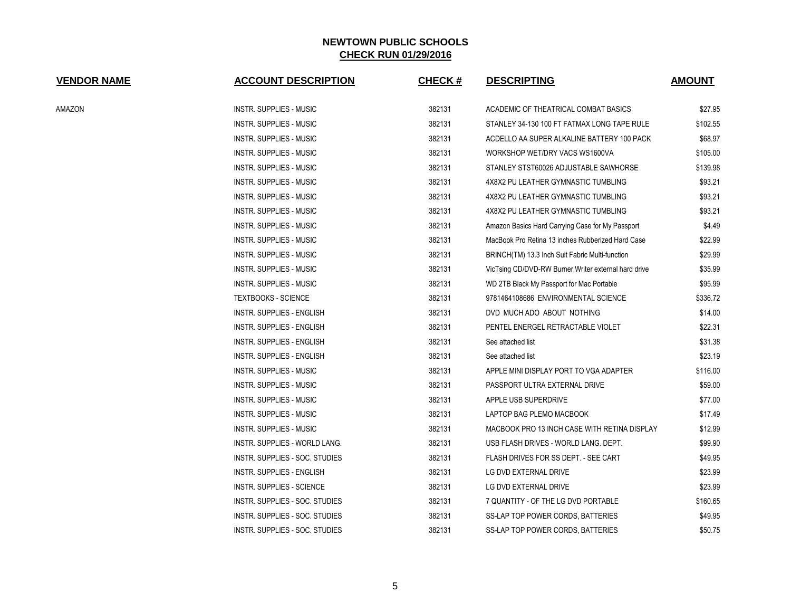| <b>VENDOR NAME</b> | <b>ACCOUNT DESCRIPTION</b>           | <b>CHECK#</b> | <b>DESCRIPTING</b>                                   | <b>AMOUNT</b> |
|--------------------|--------------------------------------|---------------|------------------------------------------------------|---------------|
| AMAZON             | <b>INSTR. SUPPLIES - MUSIC</b>       | 382131        | ACADEMIC OF THEATRICAL COMBAT BASICS                 | \$27.95       |
|                    | <b>INSTR. SUPPLIES - MUSIC</b>       | 382131        | STANLEY 34-130 100 FT FATMAX LONG TAPE RULE          | \$102.55      |
|                    | <b>INSTR. SUPPLIES - MUSIC</b>       | 382131        | ACDELLO AA SUPER ALKALINE BATTERY 100 PACK           | \$68.97       |
|                    | <b>INSTR. SUPPLIES - MUSIC</b>       | 382131        | WORKSHOP WET/DRY VACS WS1600VA                       | \$105.00      |
|                    | INSTR. SUPPLIES - MUSIC              | 382131        | STANLEY STST60026 ADJUSTABLE SAWHORSE                | \$139.98      |
|                    | <b>INSTR. SUPPLIES - MUSIC</b>       | 382131        | 4X8X2 PU LEATHER GYMNASTIC TUMBLING                  | \$93.21       |
|                    | <b>INSTR. SUPPLIES - MUSIC</b>       | 382131        | 4X8X2 PU LEATHER GYMNASTIC TUMBLING                  | \$93.21       |
|                    | <b>INSTR. SUPPLIES - MUSIC</b>       | 382131        | 4X8X2 PU LEATHER GYMNASTIC TUMBLING                  | \$93.21       |
|                    | <b>INSTR. SUPPLIES - MUSIC</b>       | 382131        | Amazon Basics Hard Carrying Case for My Passport     | \$4.49        |
|                    | INSTR. SUPPLIES - MUSIC              | 382131        | MacBook Pro Retina 13 inches Rubberized Hard Case    | \$22.99       |
|                    | INSTR. SUPPLIES - MUSIC              | 382131        | BRINCH(TM) 13.3 Inch Suit Fabric Multi-function      | \$29.99       |
|                    | <b>INSTR. SUPPLIES - MUSIC</b>       | 382131        | VicTsing CD/DVD-RW Burner Writer external hard drive | \$35.99       |
|                    | <b>INSTR. SUPPLIES - MUSIC</b>       | 382131        | WD 2TB Black My Passport for Mac Portable            | \$95.99       |
|                    | <b>TEXTBOOKS - SCIENCE</b>           | 382131        | 9781464108686 ENVIRONMENTAL SCIENCE                  | \$336.72      |
|                    | <b>INSTR. SUPPLIES - ENGLISH</b>     | 382131        | DVD MUCH ADO ABOUT NOTHING                           | \$14.00       |
|                    | INSTR. SUPPLIES - ENGLISH            | 382131        | PENTEL ENERGEL RETRACTABLE VIOLET                    | \$22.31       |
|                    | INSTR. SUPPLIES - ENGLISH            | 382131        | See attached list                                    | \$31.38       |
|                    | INSTR. SUPPLIES - ENGLISH            | 382131        | See attached list                                    | \$23.19       |
|                    | INSTR. SUPPLIES - MUSIC              | 382131        | APPLE MINI DISPLAY PORT TO VGA ADAPTER               | \$116.00      |
|                    | <b>INSTR. SUPPLIES - MUSIC</b>       | 382131        | PASSPORT ULTRA EXTERNAL DRIVE                        | \$59.00       |
|                    | <b>INSTR. SUPPLIES - MUSIC</b>       | 382131        | APPLE USB SUPERDRIVE                                 | \$77.00       |
|                    | <b>INSTR. SUPPLIES - MUSIC</b>       | 382131        | LAPTOP BAG PLEMO MACBOOK                             | \$17.49       |
|                    | INSTR. SUPPLIES - MUSIC              | 382131        | MACBOOK PRO 13 INCH CASE WITH RETINA DISPLAY         | \$12.99       |
|                    | <b>INSTR. SUPPLIES - WORLD LANG.</b> | 382131        | USB FLASH DRIVES - WORLD LANG, DEPT.                 | \$99.90       |
|                    | INSTR. SUPPLIES - SOC. STUDIES       | 382131        | FLASH DRIVES FOR SS DEPT. - SEE CART                 | \$49.95       |
|                    | <b>INSTR. SUPPLIES - ENGLISH</b>     | 382131        | LG DVD EXTERNAL DRIVE                                | \$23.99       |
|                    | <b>INSTR. SUPPLIES - SCIENCE</b>     | 382131        | LG DVD EXTERNAL DRIVE                                | \$23.99       |
|                    | INSTR. SUPPLIES - SOC. STUDIES       | 382131        | 7 QUANTITY - OF THE LG DVD PORTABLE                  | \$160.65      |
|                    | INSTR. SUPPLIES - SOC. STUDIES       | 382131        | SS-LAP TOP POWER CORDS, BATTERIES                    | \$49.95       |
|                    | INSTR. SUPPLIES - SOC. STUDIES       | 382131        | SS-LAP TOP POWER CORDS, BATTERIES                    | \$50.75       |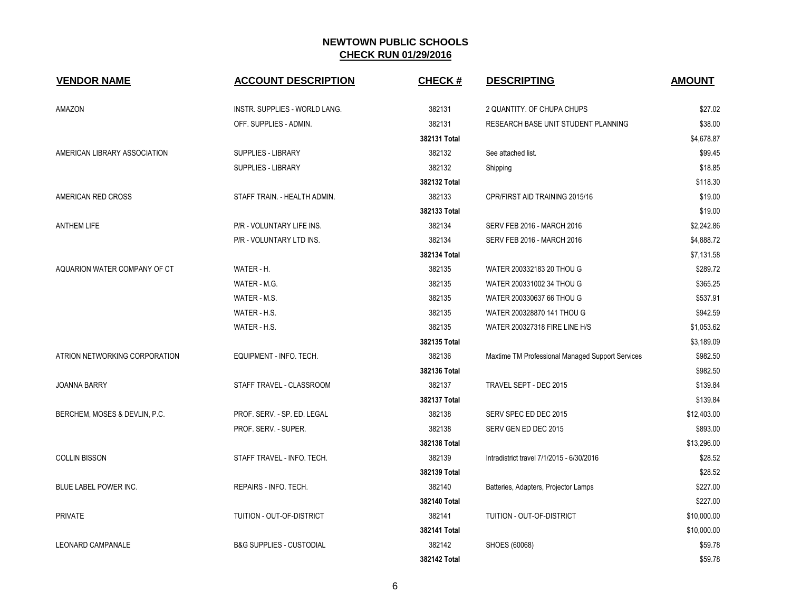| <b>VENDOR NAME</b>            | <b>ACCOUNT DESCRIPTION</b>           | <b>CHECK#</b> | <b>DESCRIPTING</b>                               | <b>AMOUNT</b> |
|-------------------------------|--------------------------------------|---------------|--------------------------------------------------|---------------|
| AMAZON                        | <b>INSTR. SUPPLIES - WORLD LANG.</b> | 382131        | 2 QUANTITY. OF CHUPA CHUPS                       | \$27.02       |
|                               | OFF. SUPPLIES - ADMIN.               | 382131        | RESEARCH BASE UNIT STUDENT PLANNING              | \$38.00       |
|                               |                                      | 382131 Total  |                                                  | \$4,678.87    |
| AMERICAN LIBRARY ASSOCIATION  | <b>SUPPLIES - LIBRARY</b>            | 382132        | See attached list.                               | \$99.45       |
|                               | <b>SUPPLIES - LIBRARY</b>            | 382132        | Shipping                                         | \$18.85       |
|                               |                                      | 382132 Total  |                                                  | \$118.30      |
| AMERICAN RED CROSS            | STAFF TRAIN. - HEALTH ADMIN.         | 382133        | CPR/FIRST AID TRAINING 2015/16                   | \$19.00       |
|                               |                                      | 382133 Total  |                                                  | \$19.00       |
| <b>ANTHEM LIFE</b>            | P/R - VOLUNTARY LIFE INS.            | 382134        | SERV FEB 2016 - MARCH 2016                       | \$2,242.86    |
|                               | P/R - VOLUNTARY LTD INS.             | 382134        | SERV FEB 2016 - MARCH 2016                       | \$4,888.72    |
|                               |                                      | 382134 Total  |                                                  | \$7,131.58    |
| AQUARION WATER COMPANY OF CT  | WATER - H.                           | 382135        | WATER 200332183 20 THOU G                        | \$289.72      |
|                               | WATER - M.G.                         | 382135        | WATER 200331002 34 THOU G                        | \$365.25      |
|                               | WATER - M.S.                         | 382135        | WATER 200330637 66 THOU G                        | \$537.91      |
|                               | WATER - H.S.                         | 382135        | WATER 200328870 141 THOU G                       | \$942.59      |
|                               | WATER - H.S.                         | 382135        | WATER 200327318 FIRE LINE H/S                    | \$1,053.62    |
|                               |                                      | 382135 Total  |                                                  | \$3,189.09    |
| ATRION NETWORKING CORPORATION | EQUIPMENT - INFO. TECH.              | 382136        | Maxtime TM Professional Managed Support Services | \$982.50      |
|                               |                                      | 382136 Total  |                                                  | \$982.50      |
| <b>JOANNA BARRY</b>           | STAFF TRAVEL - CLASSROOM             | 382137        | TRAVEL SEPT - DEC 2015                           | \$139.84      |
|                               |                                      | 382137 Total  |                                                  | \$139.84      |
| BERCHEM, MOSES & DEVLIN, P.C. | PROF. SERV. - SP. ED. LEGAL          | 382138        | SERV SPEC ED DEC 2015                            | \$12,403.00   |
|                               | PROF. SERV. - SUPER.                 | 382138        | SERV GEN ED DEC 2015                             | \$893.00      |
|                               |                                      | 382138 Total  |                                                  | \$13,296.00   |
| <b>COLLIN BISSON</b>          | STAFF TRAVEL - INFO. TECH.           | 382139        | Intradistrict travel 7/1/2015 - 6/30/2016        | \$28.52       |
|                               |                                      | 382139 Total  |                                                  | \$28.52       |
| BLUE LABEL POWER INC.         | REPAIRS - INFO. TECH.                | 382140        | Batteries, Adapters, Projector Lamps             | \$227.00      |
|                               |                                      | 382140 Total  |                                                  | \$227.00      |
| <b>PRIVATE</b>                | TUITION - OUT-OF-DISTRICT            | 382141        | TUITION - OUT-OF-DISTRICT                        | \$10,000.00   |
|                               |                                      | 382141 Total  |                                                  | \$10,000.00   |
| <b>LEONARD CAMPANALE</b>      | <b>B&amp;G SUPPLIES - CUSTODIAL</b>  | 382142        | SHOES (60068)                                    | \$59.78       |
|                               |                                      | 382142 Total  |                                                  | \$59.78       |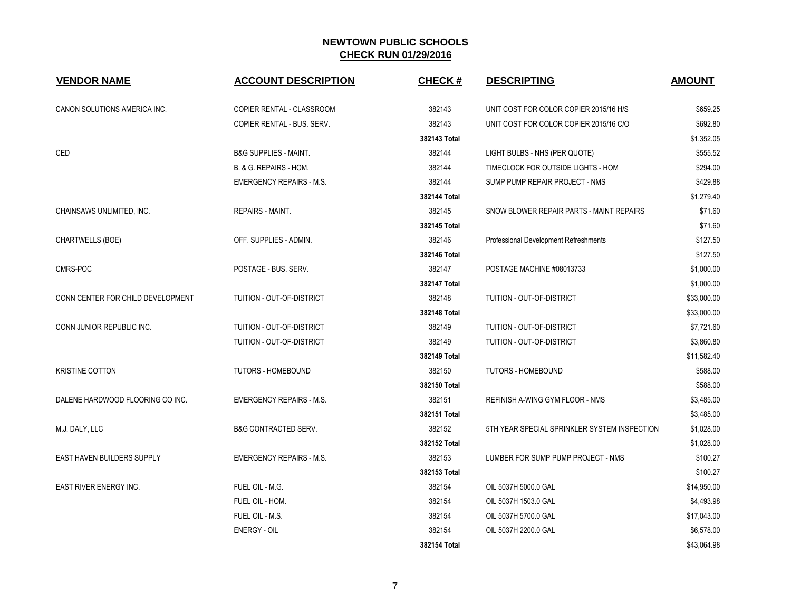| <b>VENDOR NAME</b>                | <b>ACCOUNT DESCRIPTION</b>       | <b>CHECK#</b> | <b>DESCRIPTING</b>                           | <b>AMOUNT</b> |
|-----------------------------------|----------------------------------|---------------|----------------------------------------------|---------------|
| CANON SOLUTIONS AMERICA INC.      | COPIER RENTAL - CLASSROOM        | 382143        | UNIT COST FOR COLOR COPIER 2015/16 H/S       | \$659.25      |
|                                   | COPIER RENTAL - BUS. SERV.       | 382143        | UNIT COST FOR COLOR COPIER 2015/16 C/O       | \$692.80      |
|                                   |                                  | 382143 Total  |                                              | \$1,352.05    |
| CED                               | <b>B&amp;G SUPPLIES - MAINT.</b> | 382144        | LIGHT BULBS - NHS (PER QUOTE)                | \$555.52      |
|                                   | B. & G. REPAIRS - HOM.           | 382144        | TIMECLOCK FOR OUTSIDE LIGHTS - HOM           | \$294.00      |
|                                   | <b>EMERGENCY REPAIRS - M.S.</b>  | 382144        | SUMP PUMP REPAIR PROJECT - NMS               | \$429.88      |
|                                   |                                  | 382144 Total  |                                              | \$1,279.40    |
| CHAINSAWS UNLIMITED, INC.         | <b>REPAIRS - MAINT.</b>          | 382145        | SNOW BLOWER REPAIR PARTS - MAINT REPAIRS     | \$71.60       |
|                                   |                                  | 382145 Total  |                                              | \$71.60       |
| CHARTWELLS (BOE)                  | OFF. SUPPLIES - ADMIN.           | 382146        | Professional Development Refreshments        | \$127.50      |
|                                   |                                  | 382146 Total  |                                              | \$127.50      |
| CMRS-POC                          | POSTAGE - BUS, SERV.             | 382147        | POSTAGE MACHINE #08013733                    | \$1,000.00    |
|                                   |                                  | 382147 Total  |                                              | \$1,000.00    |
| CONN CENTER FOR CHILD DEVELOPMENT | TUITION - OUT-OF-DISTRICT        | 382148        | TUITION - OUT-OF-DISTRICT                    | \$33,000.00   |
|                                   |                                  | 382148 Total  |                                              | \$33,000.00   |
| CONN JUNIOR REPUBLIC INC.         | TUITION - OUT-OF-DISTRICT        | 382149        | TUITION - OUT-OF-DISTRICT                    | \$7,721.60    |
|                                   | TUITION - OUT-OF-DISTRICT        | 382149        | TUITION - OUT-OF-DISTRICT                    | \$3,860.80    |
|                                   |                                  | 382149 Total  |                                              | \$11,582.40   |
| <b>KRISTINE COTTON</b>            | TUTORS - HOMEBOUND               | 382150        | TUTORS - HOMEBOUND                           | \$588.00      |
|                                   |                                  | 382150 Total  |                                              | \$588.00      |
| DALENE HARDWOOD FLOORING CO INC.  | <b>EMERGENCY REPAIRS - M.S.</b>  | 382151        | REFINISH A-WING GYM FLOOR - NMS              | \$3,485.00    |
|                                   |                                  | 382151 Total  |                                              | \$3,485.00    |
| M.J. DALY, LLC                    | <b>B&amp;G CONTRACTED SERV.</b>  | 382152        | 5TH YEAR SPECIAL SPRINKLER SYSTEM INSPECTION | \$1,028.00    |
|                                   |                                  | 382152 Total  |                                              | \$1,028.00    |
| EAST HAVEN BUILDERS SUPPLY        | <b>EMERGENCY REPAIRS - M.S.</b>  | 382153        | LUMBER FOR SUMP PUMP PROJECT - NMS           | \$100.27      |
|                                   |                                  | 382153 Total  |                                              | \$100.27      |
| EAST RIVER ENERGY INC.            | FUEL OIL - M.G.                  | 382154        | OIL 5037H 5000.0 GAL                         | \$14,950.00   |
|                                   | FUEL OIL - HOM.                  | 382154        | OIL 5037H 1503.0 GAL                         | \$4,493.98    |
|                                   | FUEL OIL - M.S.                  | 382154        | OIL 5037H 5700.0 GAL                         | \$17,043.00   |
|                                   | ENERGY - OIL                     | 382154        | OIL 5037H 2200.0 GAL                         | \$6,578.00    |
|                                   |                                  | 382154 Total  |                                              | \$43,064.98   |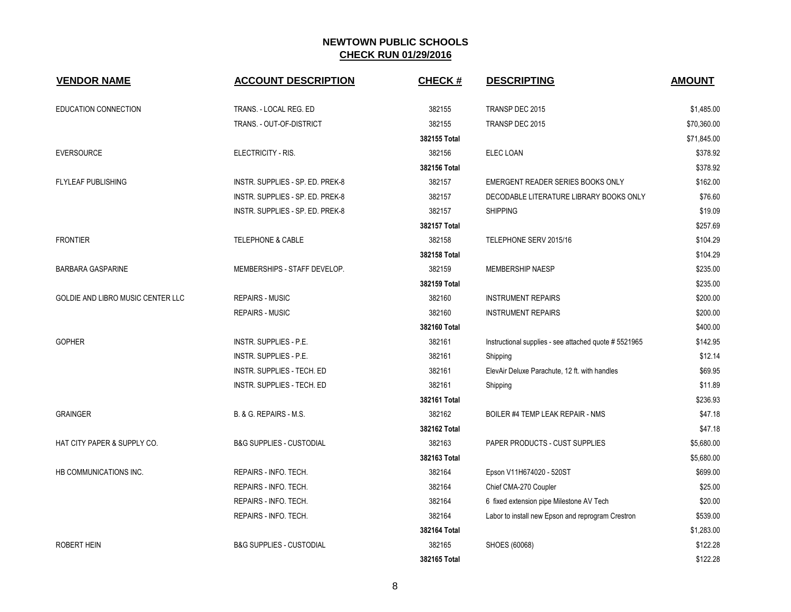| <b>VENDOR NAME</b>                | <b>ACCOUNT DESCRIPTION</b>          | <b>CHECK#</b> | <b>DESCRIPTING</b>                                    | <b>AMOUNT</b> |
|-----------------------------------|-------------------------------------|---------------|-------------------------------------------------------|---------------|
| <b>EDUCATION CONNECTION</b>       | TRANS. - LOCAL REG. ED              | 382155        | TRANSP DEC 2015                                       | \$1,485.00    |
|                                   | TRANS. - OUT-OF-DISTRICT            | 382155        | TRANSP DEC 2015                                       | \$70,360.00   |
|                                   |                                     | 382155 Total  |                                                       | \$71,845.00   |
| <b>EVERSOURCE</b>                 | ELECTRICITY - RIS.                  | 382156        | ELEC LOAN                                             | \$378.92      |
|                                   |                                     | 382156 Total  |                                                       | \$378.92      |
| <b>FLYLEAF PUBLISHING</b>         | INSTR. SUPPLIES - SP. ED. PREK-8    | 382157        | EMERGENT READER SERIES BOOKS ONLY                     | \$162.00      |
|                                   | INSTR. SUPPLIES - SP. ED. PREK-8    | 382157        | DECODABLE LITERATURE LIBRARY BOOKS ONLY               | \$76.60       |
|                                   | INSTR. SUPPLIES - SP. ED. PREK-8    | 382157        | <b>SHIPPING</b>                                       | \$19.09       |
|                                   |                                     | 382157 Total  |                                                       | \$257.69      |
| <b>FRONTIER</b>                   | <b>TELEPHONE &amp; CABLE</b>        | 382158        | TELEPHONE SERV 2015/16                                | \$104.29      |
|                                   |                                     | 382158 Total  |                                                       | \$104.29      |
| <b>BARBARA GASPARINE</b>          | MEMBERSHIPS - STAFF DEVELOP.        | 382159        | <b>MEMBERSHIP NAESP</b>                               | \$235.00      |
|                                   |                                     | 382159 Total  |                                                       | \$235.00      |
| GOLDIE AND LIBRO MUSIC CENTER LLC | <b>REPAIRS - MUSIC</b>              | 382160        | <b>INSTRUMENT REPAIRS</b>                             | \$200.00      |
|                                   | <b>REPAIRS - MUSIC</b>              | 382160        | <b>INSTRUMENT REPAIRS</b>                             | \$200.00      |
|                                   |                                     | 382160 Total  |                                                       | \$400.00      |
| <b>GOPHER</b>                     | <b>INSTR. SUPPLIES - P.E.</b>       | 382161        | Instructional supplies - see attached quote # 5521965 | \$142.95      |
|                                   | <b>INSTR. SUPPLIES - P.E.</b>       | 382161        | Shipping                                              | \$12.14       |
|                                   | INSTR. SUPPLIES - TECH. ED          | 382161        | ElevAir Deluxe Parachute, 12 ft. with handles         | \$69.95       |
|                                   | INSTR. SUPPLIES - TECH. ED          | 382161        | Shipping                                              | \$11.89       |
|                                   |                                     | 382161 Total  |                                                       | \$236.93      |
| <b>GRAINGER</b>                   | B. & G. REPAIRS - M.S.              | 382162        | <b>BOILER #4 TEMP LEAK REPAIR - NMS</b>               | \$47.18       |
|                                   |                                     | 382162 Total  |                                                       | \$47.18       |
| HAT CITY PAPER & SUPPLY CO.       | <b>B&amp;G SUPPLIES - CUSTODIAL</b> | 382163        | PAPER PRODUCTS - CUST SUPPLIES                        | \$5,680.00    |
|                                   |                                     | 382163 Total  |                                                       | \$5,680.00    |
| HB COMMUNICATIONS INC.            | REPAIRS - INFO. TECH.               | 382164        | Epson V11H674020 - 520ST                              | \$699.00      |
|                                   | REPAIRS - INFO. TECH.               | 382164        | Chief CMA-270 Coupler                                 | \$25.00       |
|                                   | REPAIRS - INFO. TECH.               | 382164        | 6 fixed extension pipe Milestone AV Tech              | \$20.00       |
|                                   | REPAIRS - INFO. TECH.               | 382164        | Labor to install new Epson and reprogram Crestron     | \$539.00      |
|                                   |                                     | 382164 Total  |                                                       | \$1,283.00    |
| ROBERT HEIN                       | <b>B&amp;G SUPPLIES - CUSTODIAL</b> | 382165        | SHOES (60068)                                         | \$122.28      |
|                                   |                                     | 382165 Total  |                                                       | \$122.28      |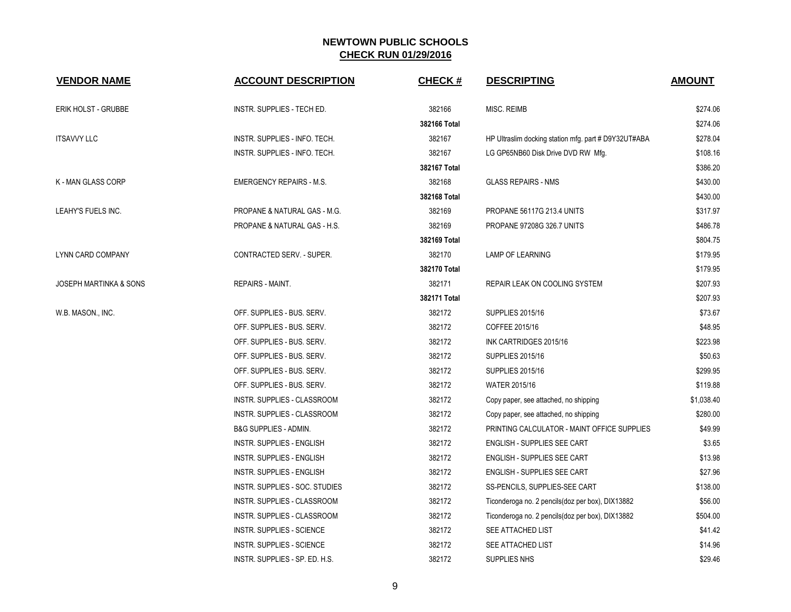| <b>VENDOR NAME</b>     | <b>ACCOUNT DESCRIPTION</b>       | <b>CHECK#</b> | <b>DESCRIPTING</b>                                   | <b>AMOUNT</b> |
|------------------------|----------------------------------|---------------|------------------------------------------------------|---------------|
| ERIK HOLST - GRUBBE    | INSTR. SUPPLIES - TECH ED.       | 382166        | <b>MISC. REIMB</b>                                   | \$274.06      |
|                        |                                  | 382166 Total  |                                                      | \$274.06      |
| ITSAVVY LLC            | INSTR. SUPPLIES - INFO. TECH.    | 382167        | HP Ultraslim docking station mfg. part # D9Y32UT#ABA | \$278.04      |
|                        | INSTR. SUPPLIES - INFO. TECH.    | 382167        | LG GP65NB60 Disk Drive DVD RW Mfg.                   | \$108.16      |
|                        |                                  | 382167 Total  |                                                      | \$386.20      |
| K - MAN GLASS CORP     | <b>EMERGENCY REPAIRS - M.S.</b>  | 382168        | <b>GLASS REPAIRS - NMS</b>                           | \$430.00      |
|                        |                                  | 382168 Total  |                                                      | \$430.00      |
| LEAHY'S FUELS INC.     | PROPANE & NATURAL GAS - M.G.     | 382169        | PROPANE 56117G 213.4 UNITS                           | \$317.97      |
|                        | PROPANE & NATURAL GAS - H.S.     | 382169        | PROPANE 97208G 326.7 UNITS                           | \$486.78      |
|                        |                                  | 382169 Total  |                                                      | \$804.75      |
| LYNN CARD COMPANY      | CONTRACTED SERV. - SUPER.        | 382170        | <b>LAMP OF LEARNING</b>                              | \$179.95      |
|                        |                                  | 382170 Total  |                                                      | \$179.95      |
| JOSEPH MARTINKA & SONS | <b>REPAIRS - MAINT.</b>          | 382171        | REPAIR LEAK ON COOLING SYSTEM                        | \$207.93      |
|                        |                                  | 382171 Total  |                                                      | \$207.93      |
| W.B. MASON., INC.      | OFF. SUPPLIES - BUS. SERV.       | 382172        | <b>SUPPLIES 2015/16</b>                              | \$73.67       |
|                        | OFF. SUPPLIES - BUS. SERV.       | 382172        | COFFEE 2015/16                                       | \$48.95       |
|                        | OFF. SUPPLIES - BUS. SERV.       | 382172        | INK CARTRIDGES 2015/16                               | \$223.98      |
|                        | OFF. SUPPLIES - BUS. SERV.       | 382172        | <b>SUPPLIES 2015/16</b>                              | \$50.63       |
|                        | OFF. SUPPLIES - BUS. SERV.       | 382172        | <b>SUPPLIES 2015/16</b>                              | \$299.95      |
|                        | OFF. SUPPLIES - BUS. SERV.       | 382172        | <b>WATER 2015/16</b>                                 | \$119.88      |
|                        | INSTR. SUPPLIES - CLASSROOM      | 382172        | Copy paper, see attached, no shipping                | \$1,038.40    |
|                        | INSTR. SUPPLIES - CLASSROOM      | 382172        | Copy paper, see attached, no shipping                | \$280.00      |
|                        | <b>B&amp;G SUPPLIES - ADMIN.</b> | 382172        | PRINTING CALCULATOR - MAINT OFFICE SUPPLIES          | \$49.99       |
|                        | INSTR. SUPPLIES - ENGLISH        | 382172        | ENGLISH - SUPPLIES SEE CART                          | \$3.65        |
|                        | INSTR. SUPPLIES - ENGLISH        | 382172        | ENGLISH - SUPPLIES SEE CART                          | \$13.98       |
|                        | INSTR. SUPPLIES - ENGLISH        | 382172        | ENGLISH - SUPPLIES SEE CART                          | \$27.96       |
|                        | INSTR. SUPPLIES - SOC. STUDIES   | 382172        | SS-PENCILS, SUPPLIES-SEE CART                        | \$138.00      |
|                        | INSTR. SUPPLIES - CLASSROOM      | 382172        | Ticonderoga no. 2 pencils(doz per box), DIX13882     | \$56.00       |
|                        | INSTR. SUPPLIES - CLASSROOM      | 382172        | Ticonderoga no. 2 pencils (doz per box), DIX13882    | \$504.00      |
|                        | INSTR. SUPPLIES - SCIENCE        | 382172        | SEE ATTACHED LIST                                    | \$41.42       |
|                        | <b>INSTR. SUPPLIES - SCIENCE</b> | 382172        | <b>SEE ATTACHED LIST</b>                             | \$14.96       |
|                        | INSTR. SUPPLIES - SP. ED. H.S.   | 382172        | SUPPLIES NHS                                         | \$29.46       |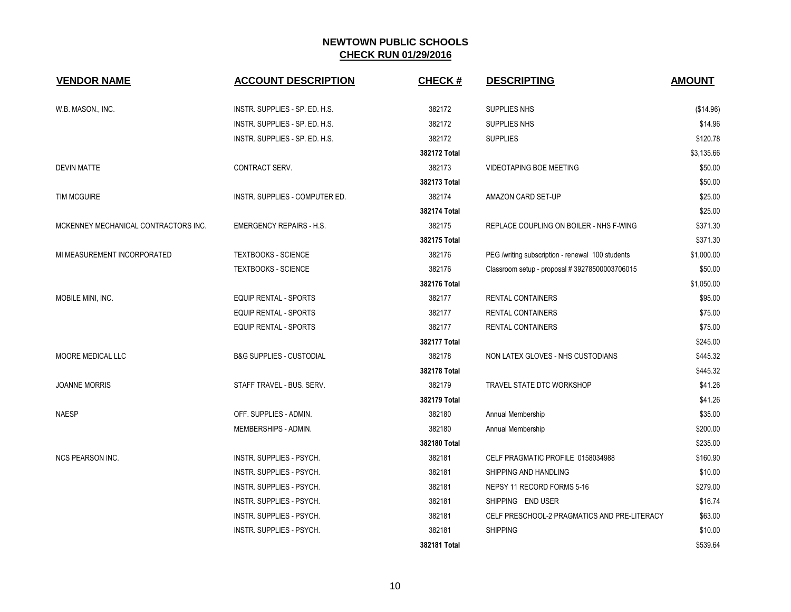| <b>VENDOR NAME</b>                   | <b>ACCOUNT DESCRIPTION</b>          | <b>CHECK#</b> | <b>DESCRIPTING</b>                               | <b>AMOUNT</b> |
|--------------------------------------|-------------------------------------|---------------|--------------------------------------------------|---------------|
| W.B. MASON., INC.                    | INSTR. SUPPLIES - SP. ED. H.S.      | 382172        | SUPPLIES NHS                                     | (\$14.96)     |
|                                      | INSTR. SUPPLIES - SP. ED. H.S.      | 382172        | SUPPLIES NHS                                     | \$14.96       |
|                                      | INSTR. SUPPLIES - SP. ED. H.S.      | 382172        | <b>SUPPLIES</b>                                  | \$120.78      |
|                                      |                                     | 382172 Total  |                                                  | \$3,135.66    |
| <b>DEVIN MATTE</b>                   | CONTRACT SERV.                      | 382173        | <b>VIDEOTAPING BOE MEETING</b>                   | \$50.00       |
|                                      |                                     | 382173 Total  |                                                  | \$50.00       |
| <b>TIM MCGUIRE</b>                   | INSTR. SUPPLIES - COMPUTER ED.      | 382174        | AMAZON CARD SET-UP                               | \$25.00       |
|                                      |                                     | 382174 Total  |                                                  | \$25.00       |
| MCKENNEY MECHANICAL CONTRACTORS INC. | <b>EMERGENCY REPAIRS - H.S.</b>     | 382175        | REPLACE COUPLING ON BOILER - NHS F-WING          | \$371.30      |
|                                      |                                     | 382175 Total  |                                                  | \$371.30      |
| MI MEASUREMENT INCORPORATED          | <b>TEXTBOOKS - SCIENCE</b>          | 382176        | PEG /writing subscription - renewal 100 students | \$1,000.00    |
|                                      | <b>TEXTBOOKS - SCIENCE</b>          | 382176        | Classroom setup - proposal #39278500003706015    | \$50.00       |
|                                      |                                     | 382176 Total  |                                                  | \$1,050.00    |
| MOBILE MINI, INC.                    | <b>EQUIP RENTAL - SPORTS</b>        | 382177        | RENTAL CONTAINERS                                | \$95.00       |
|                                      | <b>EQUIP RENTAL - SPORTS</b>        | 382177        | <b>RENTAL CONTAINERS</b>                         | \$75.00       |
|                                      | <b>EQUIP RENTAL - SPORTS</b>        | 382177        | <b>RENTAL CONTAINERS</b>                         | \$75.00       |
|                                      |                                     | 382177 Total  |                                                  | \$245.00      |
| MOORE MEDICAL LLC                    | <b>B&amp;G SUPPLIES - CUSTODIAL</b> | 382178        | NON LATEX GLOVES - NHS CUSTODIANS                | \$445.32      |
|                                      |                                     | 382178 Total  |                                                  | \$445.32      |
| <b>JOANNE MORRIS</b>                 | STAFF TRAVEL - BUS. SERV.           | 382179        | TRAVEL STATE DTC WORKSHOP                        | \$41.26       |
|                                      |                                     | 382179 Total  |                                                  | \$41.26       |
| <b>NAESP</b>                         | OFF. SUPPLIES - ADMIN.              | 382180        | Annual Membership                                | \$35.00       |
|                                      | MEMBERSHIPS - ADMIN.                | 382180        | Annual Membership                                | \$200.00      |
|                                      |                                     | 382180 Total  |                                                  | \$235.00      |
| <b>NCS PEARSON INC.</b>              | INSTR. SUPPLIES - PSYCH.            | 382181        | CELF PRAGMATIC PROFILE 0158034988                | \$160.90      |
|                                      | INSTR. SUPPLIES - PSYCH.            | 382181        | SHIPPING AND HANDLING                            | \$10.00       |
|                                      | INSTR. SUPPLIES - PSYCH.            | 382181        | NEPSY 11 RECORD FORMS 5-16                       | \$279.00      |
|                                      | INSTR. SUPPLIES - PSYCH.            | 382181        | SHIPPING END USER                                | \$16.74       |
|                                      | INSTR. SUPPLIES - PSYCH.            | 382181        | CELF PRESCHOOL-2 PRAGMATICS AND PRE-LITERACY     | \$63.00       |
|                                      | INSTR. SUPPLIES - PSYCH.            | 382181        | <b>SHIPPING</b>                                  | \$10.00       |
|                                      |                                     | 382181 Total  |                                                  | \$539.64      |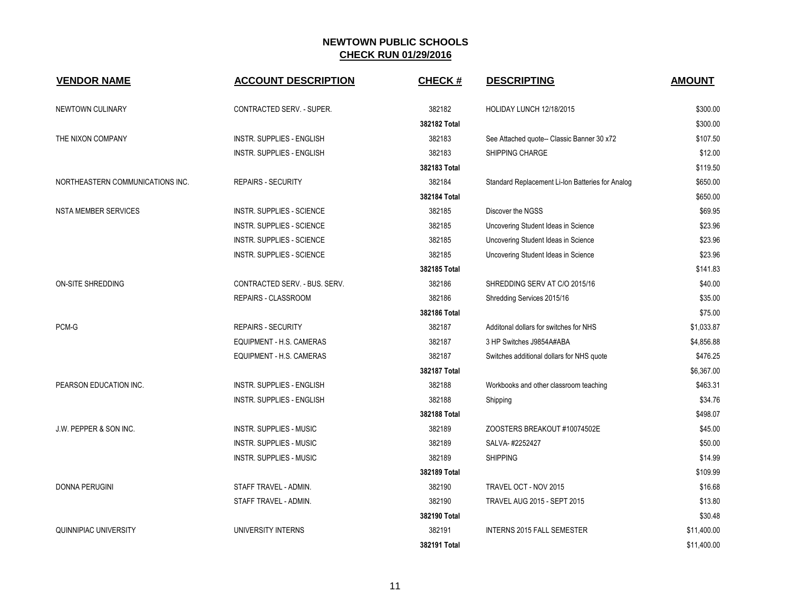| <b>VENDOR NAME</b>               | <b>ACCOUNT DESCRIPTION</b>       | <b>CHECK#</b> | <b>DESCRIPTING</b>                               | <b>AMOUNT</b> |
|----------------------------------|----------------------------------|---------------|--------------------------------------------------|---------------|
| NEWTOWN CULINARY                 | CONTRACTED SERV. - SUPER.        | 382182        | HOLIDAY LUNCH 12/18/2015                         | \$300.00      |
|                                  |                                  | 382182 Total  |                                                  | \$300.00      |
| THE NIXON COMPANY                | INSTR. SUPPLIES - ENGLISH        | 382183        | See Attached quote-- Classic Banner 30 x72       | \$107.50      |
|                                  | <b>INSTR. SUPPLIES - ENGLISH</b> | 382183        | <b>SHIPPING CHARGE</b>                           | \$12.00       |
|                                  |                                  | 382183 Total  |                                                  | \$119.50      |
| NORTHEASTERN COMMUNICATIONS INC. | <b>REPAIRS - SECURITY</b>        | 382184        | Standard Replacement Li-Ion Batteries for Analog | \$650.00      |
|                                  |                                  | 382184 Total  |                                                  | \$650.00      |
| <b>NSTA MEMBER SERVICES</b>      | <b>INSTR. SUPPLIES - SCIENCE</b> | 382185        | Discover the NGSS                                | \$69.95       |
|                                  | INSTR. SUPPLIES - SCIENCE        | 382185        | Uncovering Student Ideas in Science              | \$23.96       |
|                                  | INSTR. SUPPLIES - SCIENCE        | 382185        | Uncovering Student Ideas in Science              | \$23.96       |
|                                  | INSTR. SUPPLIES - SCIENCE        | 382185        | Uncovering Student Ideas in Science              | \$23.96       |
|                                  |                                  | 382185 Total  |                                                  | \$141.83      |
| <b>ON-SITE SHREDDING</b>         | CONTRACTED SERV. - BUS. SERV.    | 382186        | SHREDDING SERV AT C/O 2015/16                    | \$40.00       |
|                                  | REPAIRS - CLASSROOM              | 382186        | Shredding Services 2015/16                       | \$35.00       |
|                                  |                                  | 382186 Total  |                                                  | \$75.00       |
| PCM-G                            | <b>REPAIRS - SECURITY</b>        | 382187        | Additonal dollars for switches for NHS           | \$1,033.87    |
|                                  | EQUIPMENT - H.S. CAMERAS         | 382187        | 3 HP Switches J9854A#ABA                         | \$4,856.88    |
|                                  | EQUIPMENT - H.S. CAMERAS         | 382187        | Switches additional dollars for NHS quote        | \$476.25      |
|                                  |                                  | 382187 Total  |                                                  | \$6,367.00    |
| PEARSON EDUCATION INC.           | <b>INSTR. SUPPLIES - ENGLISH</b> | 382188        | Workbooks and other classroom teaching           | \$463.31      |
|                                  | INSTR. SUPPLIES - ENGLISH        | 382188        | Shipping                                         | \$34.76       |
|                                  |                                  | 382188 Total  |                                                  | \$498.07      |
| J.W. PEPPER & SON INC.           | <b>INSTR. SUPPLIES - MUSIC</b>   | 382189        | ZOOSTERS BREAKOUT #10074502E                     | \$45.00       |
|                                  | <b>INSTR. SUPPLIES - MUSIC</b>   | 382189        | SALVA-#2252427                                   | \$50.00       |
|                                  | INSTR. SUPPLIES - MUSIC          | 382189        | <b>SHIPPING</b>                                  | \$14.99       |
|                                  |                                  | 382189 Total  |                                                  | \$109.99      |
| <b>DONNA PERUGINI</b>            | STAFF TRAVEL - ADMIN.            | 382190        | TRAVEL OCT - NOV 2015                            | \$16.68       |
|                                  | STAFF TRAVEL - ADMIN.            | 382190        | TRAVEL AUG 2015 - SEPT 2015                      | \$13.80       |
|                                  |                                  | 382190 Total  |                                                  | \$30.48       |
| QUINNIPIAC UNIVERSITY            | UNIVERSITY INTERNS               | 382191        | <b>INTERNS 2015 FALL SEMESTER</b>                | \$11,400.00   |
|                                  |                                  | 382191 Total  |                                                  | \$11,400.00   |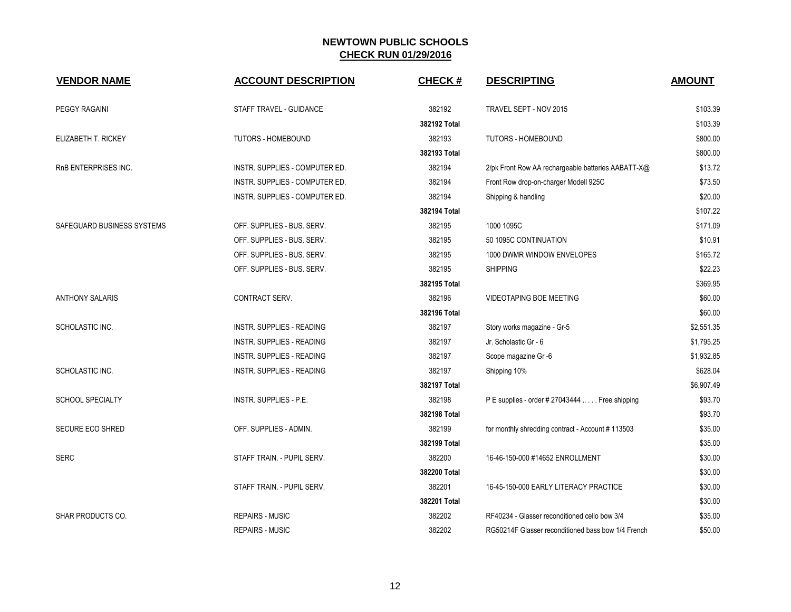| <b>VENDOR NAME</b>         | <b>ACCOUNT DESCRIPTION</b>       | <b>CHECK#</b> | <b>DESCRIPTING</b>                                 | <b>AMOUNT</b> |
|----------------------------|----------------------------------|---------------|----------------------------------------------------|---------------|
| <b>PEGGY RAGAINI</b>       | STAFF TRAVEL - GUIDANCE          | 382192        | TRAVEL SEPT - NOV 2015                             | \$103.39      |
|                            |                                  | 382192 Total  |                                                    | \$103.39      |
| ELIZABETH T. RICKEY        | <b>TUTORS - HOMEBOUND</b>        | 382193        | <b>TUTORS - HOMEBOUND</b>                          | \$800.00      |
|                            |                                  | 382193 Total  |                                                    | \$800.00      |
| RnB ENTERPRISES INC.       | INSTR. SUPPLIES - COMPUTER ED.   | 382194        | 2/pk Front Row AA rechargeable batteries AABATT-X@ | \$13.72       |
|                            | INSTR. SUPPLIES - COMPUTER ED.   | 382194        | Front Row drop-on-charger Modell 925C              | \$73.50       |
|                            | INSTR. SUPPLIES - COMPUTER ED.   | 382194        | Shipping & handling                                | \$20.00       |
|                            |                                  | 382194 Total  |                                                    | \$107.22      |
| SAFEGUARD BUSINESS SYSTEMS | OFF. SUPPLIES - BUS. SERV.       | 382195        | 1000 1095C                                         | \$171.09      |
|                            | OFF. SUPPLIES - BUS. SERV.       | 382195        | 50 1095C CONTINUATION                              | \$10.91       |
|                            | OFF. SUPPLIES - BUS. SERV.       | 382195        | 1000 DWMR WINDOW ENVELOPES                         | \$165.72      |
|                            | OFF. SUPPLIES - BUS. SERV.       | 382195        | <b>SHIPPING</b>                                    | \$22.23       |
|                            |                                  | 382195 Total  |                                                    | \$369.95      |
| <b>ANTHONY SALARIS</b>     | CONTRACT SERV.                   | 382196        | <b>VIDEOTAPING BOE MEETING</b>                     | \$60.00       |
|                            |                                  | 382196 Total  |                                                    | \$60.00       |
| SCHOLASTIC INC.            | INSTR. SUPPLIES - READING        | 382197        | Story works magazine - Gr-5                        | \$2,551.35    |
|                            | INSTR. SUPPLIES - READING        | 382197        | Jr. Scholastic Gr - 6                              | \$1,795.25    |
|                            | <b>INSTR. SUPPLIES - READING</b> | 382197        | Scope magazine Gr -6                               | \$1,932.85    |
| SCHOLASTIC INC.            | INSTR. SUPPLIES - READING        | 382197        | Shipping 10%                                       | \$628.04      |
|                            |                                  | 382197 Total  |                                                    | \$6,907.49    |
| <b>SCHOOL SPECIALTY</b>    | INSTR. SUPPLIES - P.E.           | 382198        | P E supplies - order # 27043444  Free shipping     | \$93.70       |
|                            |                                  | 382198 Total  |                                                    | \$93.70       |
| <b>SECURE ECO SHRED</b>    | OFF. SUPPLIES - ADMIN.           | 382199        | for monthly shredding contract - Account #113503   | \$35.00       |
|                            |                                  | 382199 Total  |                                                    | \$35.00       |
| <b>SERC</b>                | STAFF TRAIN. - PUPIL SERV.       | 382200        | 16-46-150-000 #14652 ENROLLMENT                    | \$30.00       |
|                            |                                  | 382200 Total  |                                                    | \$30.00       |
|                            | STAFF TRAIN. - PUPIL SERV.       | 382201        | 16-45-150-000 EARLY LITERACY PRACTICE              | \$30.00       |
|                            |                                  | 382201 Total  |                                                    | \$30.00       |
| <b>SHAR PRODUCTS CO.</b>   | <b>REPAIRS - MUSIC</b>           | 382202        | RF40234 - Glasser reconditioned cello bow 3/4      | \$35.00       |
|                            | <b>REPAIRS - MUSIC</b>           | 382202        | RG50214F Glasser reconditioned bass bow 1/4 French | \$50.00       |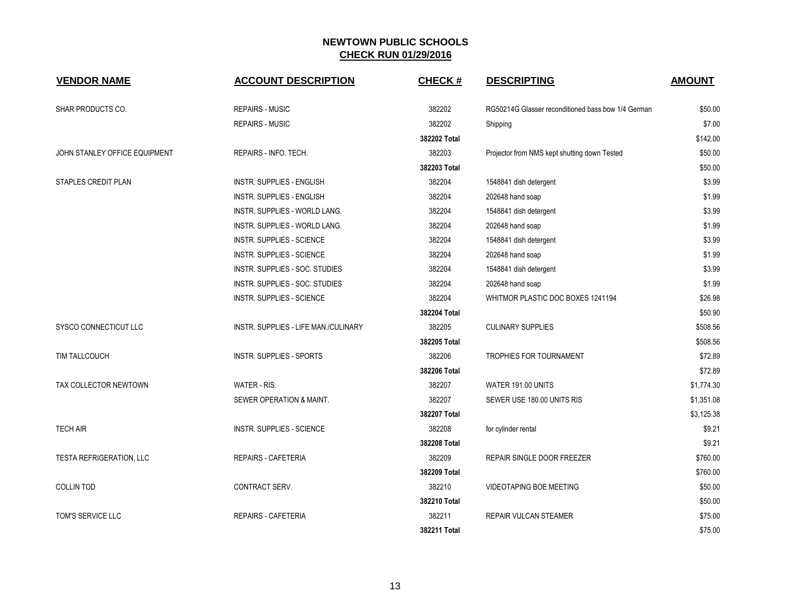| <b>VENDOR NAME</b>            | <b>ACCOUNT DESCRIPTION</b>           | <b>CHECK#</b> | <b>DESCRIPTING</b>                                 | <b>AMOUNT</b> |
|-------------------------------|--------------------------------------|---------------|----------------------------------------------------|---------------|
| SHAR PRODUCTS CO.             | <b>REPAIRS - MUSIC</b>               | 382202        | RG50214G Glasser reconditioned bass bow 1/4 German | \$50.00       |
|                               | <b>REPAIRS - MUSIC</b>               | 382202        | Shipping                                           | \$7.00        |
|                               |                                      | 382202 Total  |                                                    | \$142.00      |
| JOHN STANLEY OFFICE EQUIPMENT | REPAIRS - INFO. TECH.                | 382203        | Projector from NMS kept shutting down Tested       | \$50.00       |
|                               |                                      | 382203 Total  |                                                    | \$50.00       |
| STAPLES CREDIT PLAN           | <b>INSTR. SUPPLIES - ENGLISH</b>     | 382204        | 1548841 dish detergent                             | \$3.99        |
|                               | INSTR. SUPPLIES - ENGLISH            | 382204        | 202648 hand soap                                   | \$1.99        |
|                               | INSTR. SUPPLIES - WORLD LANG.        | 382204        | 1548841 dish detergent                             | \$3.99        |
|                               | INSTR. SUPPLIES - WORLD LANG.        | 382204        | 202648 hand soap                                   | \$1.99        |
|                               | INSTR. SUPPLIES - SCIENCE            | 382204        | 1548841 dish detergent                             | \$3.99        |
|                               | <b>INSTR. SUPPLIES - SCIENCE</b>     | 382204        | 202648 hand soap                                   | \$1.99        |
|                               | INSTR. SUPPLIES - SOC. STUDIES       | 382204        | 1548841 dish detergent                             | \$3.99        |
|                               | INSTR. SUPPLIES - SOC. STUDIES       | 382204        | 202648 hand soap                                   | \$1.99        |
|                               | INSTR. SUPPLIES - SCIENCE            | 382204        | WHITMOR PLASTIC DOC BOXES 1241194                  | \$26.98       |
|                               |                                      | 382204 Total  |                                                    | \$50.90       |
| SYSCO CONNECTICUT LLC         | INSTR. SUPPLIES - LIFE MAN./CULINARY | 382205        | <b>CULINARY SUPPLIES</b>                           | \$508.56      |
|                               |                                      | 382205 Total  |                                                    | \$508.56      |
| TIM TALLCOUCH                 | INSTR. SUPPLIES - SPORTS             | 382206        | <b>TROPHIES FOR TOURNAMENT</b>                     | \$72.89       |
|                               |                                      | 382206 Total  |                                                    | \$72.89       |
| TAX COLLECTOR NEWTOWN         | WATER - RIS.                         | 382207        | WATER 191.00 UNITS                                 | \$1,774.30    |
|                               | SEWER OPERATION & MAINT.             | 382207        | SEWER USE 180.00 UNITS RIS                         | \$1,351.08    |
|                               |                                      | 382207 Total  |                                                    | \$3,125.38    |
| <b>TECH AIR</b>               | INSTR. SUPPLIES - SCIENCE            | 382208        | for cylinder rental                                | \$9.21        |
|                               |                                      | 382208 Total  |                                                    | \$9.21        |
| TESTA REFRIGERATION, LLC      | REPAIRS - CAFETERIA                  | 382209        | REPAIR SINGLE DOOR FREEZER                         | \$760.00      |
|                               |                                      | 382209 Total  |                                                    | \$760.00      |
| <b>COLLIN TOD</b>             | CONTRACT SERV.                       | 382210        | VIDEOTAPING BOE MEETING                            | \$50.00       |
|                               |                                      | 382210 Total  |                                                    | \$50.00       |
| TOM'S SERVICE LLC             | <b>REPAIRS - CAFETERIA</b>           | 382211        | <b>REPAIR VULCAN STEAMER</b>                       | \$75.00       |
|                               |                                      | 382211 Total  |                                                    | \$75.00       |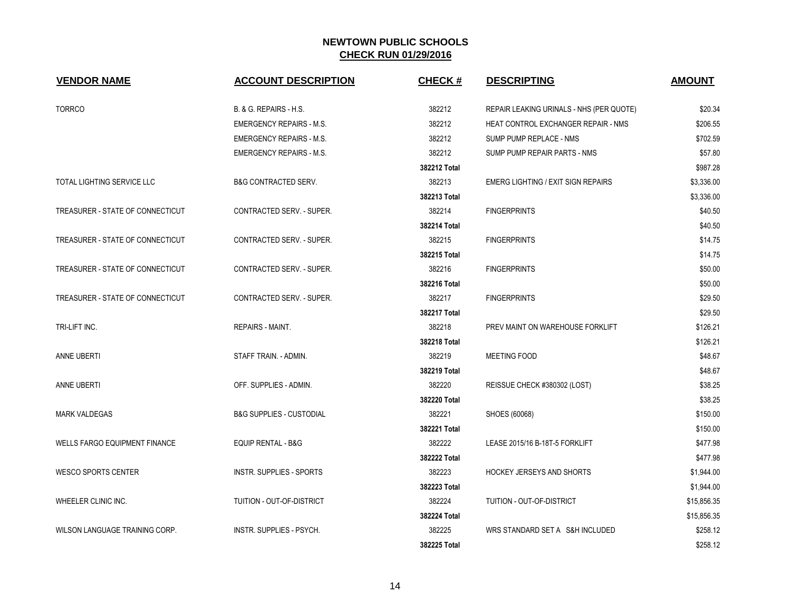| <b>VENDOR NAME</b>                   | <b>ACCOUNT DESCRIPTION</b>          | <b>CHECK#</b> | <b>DESCRIPTING</b>                         | <b>AMOUNT</b> |
|--------------------------------------|-------------------------------------|---------------|--------------------------------------------|---------------|
| <b>TORRCO</b>                        | B. & G. REPAIRS - H.S.              | 382212        | REPAIR LEAKING URINALS - NHS (PER QUOTE)   | \$20.34       |
|                                      | <b>EMERGENCY REPAIRS - M.S.</b>     | 382212        | <b>HEAT CONTROL EXCHANGER REPAIR - NMS</b> | \$206.55      |
|                                      | <b>EMERGENCY REPAIRS - M.S.</b>     | 382212        | SUMP PUMP REPLACE - NMS                    | \$702.59      |
|                                      | <b>EMERGENCY REPAIRS - M.S.</b>     | 382212        | SUMP PUMP REPAIR PARTS - NMS               | \$57.80       |
|                                      |                                     | 382212 Total  |                                            | \$987.28      |
| TOTAL LIGHTING SERVICE LLC           | <b>B&amp;G CONTRACTED SERV.</b>     | 382213        | <b>EMERG LIGHTING / EXIT SIGN REPAIRS</b>  | \$3,336.00    |
|                                      |                                     | 382213 Total  |                                            | \$3,336.00    |
| TREASURER - STATE OF CONNECTICUT     | <b>CONTRACTED SERV. - SUPER.</b>    | 382214        | <b>FINGERPRINTS</b>                        | \$40.50       |
|                                      |                                     | 382214 Total  |                                            | \$40.50       |
| TREASURER - STATE OF CONNECTICUT     | CONTRACTED SERV. - SUPER.           | 382215        | <b>FINGERPRINTS</b>                        | \$14.75       |
|                                      |                                     | 382215 Total  |                                            | \$14.75       |
| TREASURER - STATE OF CONNECTICUT     | CONTRACTED SERV. - SUPER.           | 382216        | <b>FINGERPRINTS</b>                        | \$50.00       |
|                                      |                                     | 382216 Total  |                                            | \$50.00       |
| TREASURER - STATE OF CONNECTICUT     | CONTRACTED SERV. - SUPER.           | 382217        | <b>FINGERPRINTS</b>                        | \$29.50       |
|                                      |                                     | 382217 Total  |                                            | \$29.50       |
| TRI-LIFT INC.                        | <b>REPAIRS - MAINT.</b>             | 382218        | PREV MAINT ON WAREHOUSE FORKLIFT           | \$126.21      |
|                                      |                                     | 382218 Total  |                                            | \$126.21      |
| ANNE UBERTI                          | STAFF TRAIN. - ADMIN.               | 382219        | MEETING FOOD                               | \$48.67       |
|                                      |                                     | 382219 Total  |                                            | \$48.67       |
| ANNE UBERTI                          | OFF. SUPPLIES - ADMIN.              | 382220        | REISSUE CHECK #380302 (LOST)               | \$38.25       |
|                                      |                                     | 382220 Total  |                                            | \$38.25       |
| <b>MARK VALDEGAS</b>                 | <b>B&amp;G SUPPLIES - CUSTODIAL</b> | 382221        | SHOES (60068)                              | \$150.00      |
|                                      |                                     | 382221 Total  |                                            | \$150.00      |
| <b>WELLS FARGO EQUIPMENT FINANCE</b> | <b>EQUIP RENTAL - B&amp;G</b>       | 382222        | LEASE 2015/16 B-18T-5 FORKLIFT             | \$477.98      |
|                                      |                                     | 382222 Total  |                                            | \$477.98      |
| <b>WESCO SPORTS CENTER</b>           | INSTR. SUPPLIES - SPORTS            | 382223        | HOCKEY JERSEYS AND SHORTS                  | \$1,944.00    |
|                                      |                                     | 382223 Total  |                                            | \$1,944.00    |
| WHEELER CLINIC INC.                  | TUITION - OUT-OF-DISTRICT           | 382224        | TUITION - OUT-OF-DISTRICT                  | \$15,856.35   |
|                                      |                                     | 382224 Total  |                                            | \$15,856.35   |
| WILSON LANGUAGE TRAINING CORP.       | INSTR. SUPPLIES - PSYCH.            | 382225        | WRS STANDARD SET A S&H INCLUDED            | \$258.12      |
|                                      |                                     | 382225 Total  |                                            | \$258.12      |